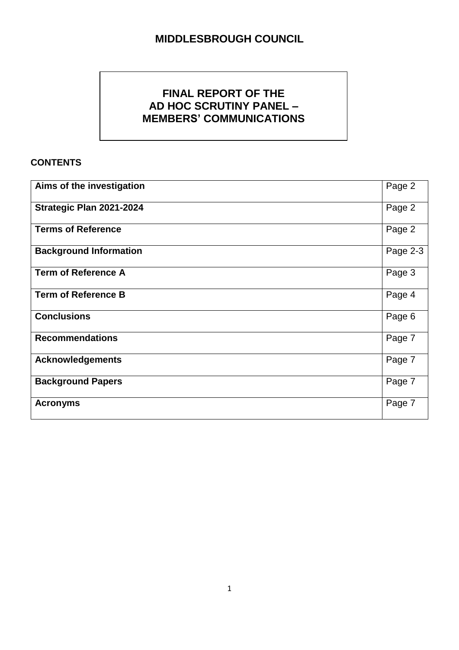# **FINAL REPORT OF THE AD HOC SCRUTINY PANEL – MEMBERS' COMMUNICATIONS**

## **CONTENTS**

| Aims of the investigation     | Page 2   |
|-------------------------------|----------|
| Strategic Plan 2021-2024      | Page 2   |
| <b>Terms of Reference</b>     | Page 2   |
| <b>Background Information</b> | Page 2-3 |
| <b>Term of Reference A</b>    | Page 3   |
| <b>Term of Reference B</b>    | Page 4   |
| <b>Conclusions</b>            | Page 6   |
| <b>Recommendations</b>        | Page 7   |
| <b>Acknowledgements</b>       | Page 7   |
| <b>Background Papers</b>      | Page 7   |
| <b>Acronyms</b>               | Page 7   |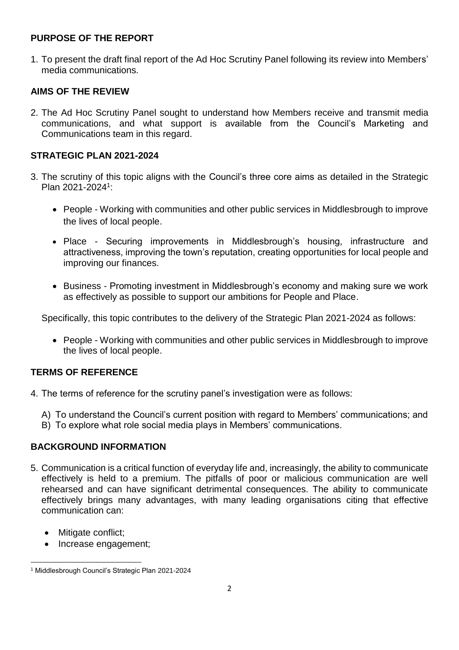#### **PURPOSE OF THE REPORT**

1. To present the draft final report of the Ad Hoc Scrutiny Panel following its review into Members' media communications.

### **AIMS OF THE REVIEW**

2. The Ad Hoc Scrutiny Panel sought to understand how Members receive and transmit media communications, and what support is available from the Council's Marketing and Communications team in this regard.

#### **STRATEGIC PLAN 2021-2024**

- 3. The scrutiny of this topic aligns with the Council's three core aims as detailed in the Strategic Plan 2021-2024<sup>1</sup>:
	- People Working with communities and other public services in Middlesbrough to improve the lives of local people.
	- Place Securing improvements in Middlesbrough's housing, infrastructure and attractiveness, improving the town's reputation, creating opportunities for local people and improving our finances.
	- Business Promoting investment in Middlesbrough's economy and making sure we work as effectively as possible to support our ambitions for People and Place.

Specifically, this topic contributes to the delivery of the Strategic Plan 2021-2024 as follows:

• People - Working with communities and other public services in Middlesbrough to improve the lives of local people.

#### **TERMS OF REFERENCE**

- 4. The terms of reference for the scrutiny panel's investigation were as follows:
	- A) To understand the Council's current position with regard to Members' communications; and
	- B) To explore what role social media plays in Members' communications.

#### **BACKGROUND INFORMATION**

- 5. Communication is a critical function of everyday life and, increasingly, the ability to communicate effectively is held to a premium. The pitfalls of poor or malicious communication are well rehearsed and can have significant detrimental consequences. The ability to communicate effectively brings many advantages, with many leading organisations citing that effective communication can:
	- Mitigate conflict;
	- Increase engagement;

**<sup>.</sup>** <sup>1</sup> Middlesbrough Council's Strategic Plan 2021-2024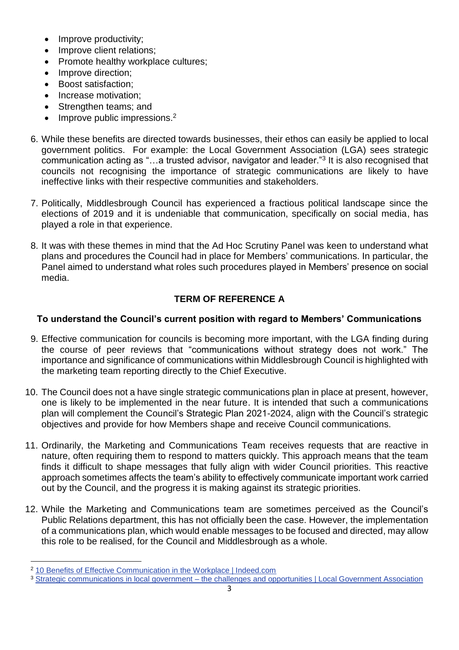- Improve productivity;
- Improve client relations;
- Promote healthy workplace cultures;
- Improve direction;
- Boost satisfaction:
- Increase motivation;
- Strengthen teams; and
- $\bullet$  Improve public impressions.<sup>2</sup>
- 6. While these benefits are directed towards businesses, their ethos can easily be applied to local government politics. For example: the Local Government Association (LGA) sees strategic communication acting as "...a trusted advisor, navigator and leader."<sup>3</sup> It is also recognised that councils not recognising the importance of strategic communications are likely to have ineffective links with their respective communities and stakeholders.
- 7. Politically, Middlesbrough Council has experienced a fractious political landscape since the elections of 2019 and it is undeniable that communication, specifically on social media, has played a role in that experience.
- 8. It was with these themes in mind that the Ad Hoc Scrutiny Panel was keen to understand what plans and procedures the Council had in place for Members' communications. In particular, the Panel aimed to understand what roles such procedures played in Members' presence on social media.

## **TERM OF REFERENCE A**

## **To understand the Council's current position with regard to Members' Communications**

- 9. Effective communication for councils is becoming more important, with the LGA finding during the course of peer reviews that "communications without strategy does not work." The importance and significance of communications within Middlesbrough Council is highlighted with the marketing team reporting directly to the Chief Executive.
- 10. The Council does not a have single strategic communications plan in place at present, however, one is likely to be implemented in the near future. It is intended that such a communications plan will complement the Council's Strategic Plan 2021-2024, align with the Council's strategic objectives and provide for how Members shape and receive Council communications.
- 11. Ordinarily, the Marketing and Communications Team receives requests that are reactive in nature, often requiring them to respond to matters quickly. This approach means that the team finds it difficult to shape messages that fully align with wider Council priorities. This reactive approach sometimes affects the team's ability to effectively communicate important work carried out by the Council, and the progress it is making against its strategic priorities.
- 12. While the Marketing and Communications team are sometimes perceived as the Council's Public Relations department, this has not officially been the case. However, the implementation of a communications plan, which would enable messages to be focused and directed, may allow this role to be realised, for the Council and Middlesbrough as a whole.

<sup>1</sup> <sup>2</sup> [10 Benefits of Effective Communication in the Workplace | Indeed.com](https://www.indeed.com/career-advice/career-development/communication-benefits)

<sup>&</sup>lt;sup>3</sup> Strategic communications in local government – [the challenges and opportunities | Local Government Association](https://www.local.gov.uk/our-support/guidance-and-resources/comms-hub-communications-support/futurecomms-building-local-0)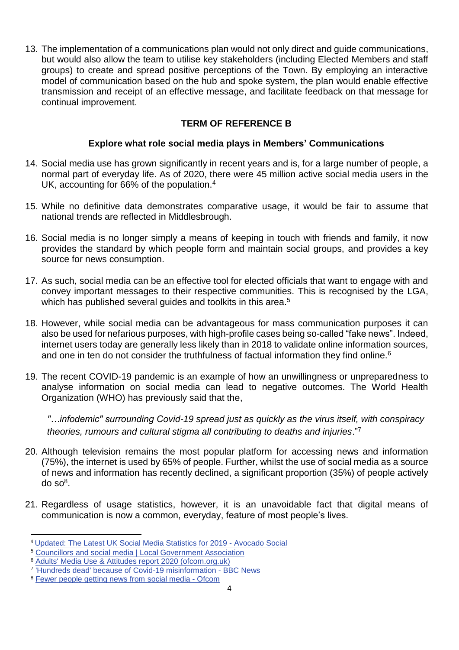13. The implementation of a communications plan would not only direct and guide communications, but would also allow the team to utilise key stakeholders (including Elected Members and staff groups) to create and spread positive perceptions of the Town. By employing an interactive model of communication based on the hub and spoke system, the plan would enable effective transmission and receipt of an effective message, and facilitate feedback on that message for continual improvement.

## **TERM OF REFERENCE B**

### **Explore what role social media plays in Members' Communications**

- 14. Social media use has grown significantly in recent years and is, for a large number of people, a normal part of everyday life. As of 2020, there were 45 million active social media users in the UK, accounting for 66% of the population.<sup>4</sup>
- 15. While no definitive data demonstrates comparative usage, it would be fair to assume that national trends are reflected in Middlesbrough.
- 16. Social media is no longer simply a means of keeping in touch with friends and family, it now provides the standard by which people form and maintain social groups, and provides a key source for news consumption.
- 17. As such, social media can be an effective tool for elected officials that want to engage with and convey important messages to their respective communities. This is recognised by the LGA, which has published several quides and toolkits in this area.<sup>5</sup>
- 18. However, while social media can be advantageous for mass communication purposes it can also be used for nefarious purposes, with high-profile cases being so-called "fake news". Indeed, internet users today are generally less likely than in 2018 to validate online information sources, and one in ten do not consider the truthfulness of factual information they find online.<sup>6</sup>
- 19. The recent COVID-19 pandemic is an example of how an unwillingness or unpreparedness to analyse information on social media can lead to negative outcomes. The World Health Organization (WHO) has previously said that the,

*"…infodemic" surrounding Covid-19 spread just as quickly as the virus itself, with conspiracy theories, rumours and cultural stigma all contributing to deaths and injuries*."<sup>7</sup>

- 20. Although television remains the most popular platform for accessing news and information (75%), the internet is used by 65% of people. Further, whilst the use of social media as a source of news and information has recently declined, a significant proportion (35%) of people actively do so<sup>8</sup>.
- 21. Regardless of usage statistics, however, it is an unavoidable fact that digital means of communication is now a common, everyday, feature of most people's lives.

**.** 

<sup>4</sup> [Updated: The Latest UK Social Media Statistics for 2019 -](https://www.avocadosocial.com/updated-the-latest-uk-social-media-statistics-for-2019/#:~:text=The%20UK%20now%20has%2045,much%20a%20mobile%2Dfirst%20nation.) Avocado Social

<sup>5</sup> [Councillors and social media | Local Government Association](https://local.gov.uk/councillors-and-social-media)

<sup>6</sup> [Adults' Media Use & Attitudes report 2020 \(ofcom.org.uk\)](https://www.ofcom.org.uk/__data/assets/pdf_file/0031/196375/adults-media-use-and-attitudes-2020-report.pdf)

<sup>&</sup>lt;sup>7</sup> Hundreds dead' because of Covid-19 misinformation - BBC News

<sup>8</sup> [Fewer people getting news from social media -](https://www.ofcom.org.uk/about-ofcom/latest/features-and-news/news-from-social-media#:~:text=While%20TV%20remains%20the%20most,2019%20to%2045%25%20in%202020.) Ofcom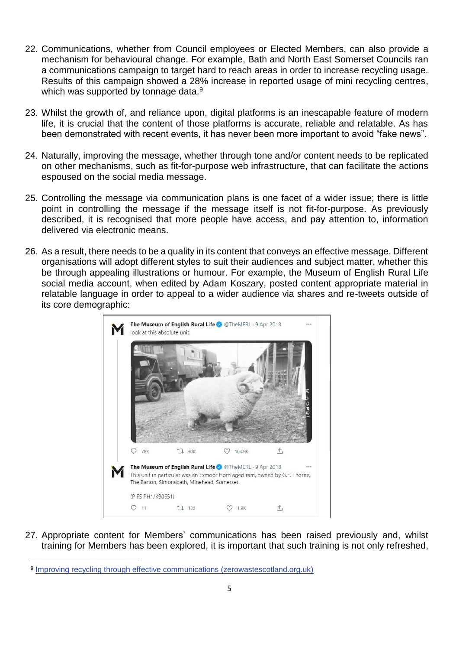- 22. Communications, whether from Council employees or Elected Members, can also provide a mechanism for behavioural change. For example, Bath and North East Somerset Councils ran a communications campaign to target hard to reach areas in order to increase recycling usage. Results of this campaign showed a 28% increase in reported usage of mini recycling centres, which was supported by tonnage data.<sup>9</sup>
- 23. Whilst the growth of, and reliance upon, digital platforms is an inescapable feature of modern life, it is crucial that the content of those platforms is accurate, reliable and relatable. As has been demonstrated with recent events, it has never been more important to avoid "fake news".
- 24. Naturally, improving the message, whether through tone and/or content needs to be replicated on other mechanisms, such as fit-for-purpose web infrastructure, that can facilitate the actions espoused on the social media message.
- 25. Controlling the message via communication plans is one facet of a wider issue; there is little point in controlling the message if the message itself is not fit-for-purpose. As previously described, it is recognised that more people have access, and pay attention to, information delivered via electronic means.
- 26. As a result, there needs to be a quality in its content that conveys an effective message. Different organisations will adopt different styles to suit their audiences and subject matter, whether this be through appealing illustrations or humour. For example, the Museum of English Rural Life social media account, when edited by Adam Koszary, posted content appropriate material in relatable language in order to appeal to a wider audience via shares and re-tweets outside of its core demographic:



27. Appropriate content for Members' communications has been raised previously and, whilst training for Members has been explored, it is important that such training is not only refreshed,

1

<sup>9</sup> [Improving recycling through effective communications \(zerowastescotland.org.uk\)](https://www.zerowastescotland.org.uk/sites/default/files/Improving%20Recycling%20Through%20Effective%20Communications_ZWS_0.pdf)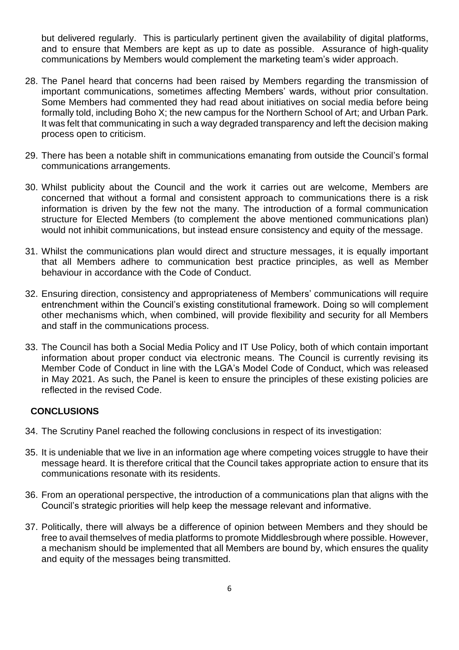but delivered regularly. This is particularly pertinent given the availability of digital platforms, and to ensure that Members are kept as up to date as possible. Assurance of high-quality communications by Members would complement the marketing team's wider approach.

- 28. The Panel heard that concerns had been raised by Members regarding the transmission of important communications, sometimes affecting Members' wards, without prior consultation. Some Members had commented they had read about initiatives on social media before being formally told, including Boho X; the new campus for the Northern School of Art; and Urban Park. It was felt that communicating in such a way degraded transparency and left the decision making process open to criticism.
- 29. There has been a notable shift in communications emanating from outside the Council's formal communications arrangements.
- 30. Whilst publicity about the Council and the work it carries out are welcome, Members are concerned that without a formal and consistent approach to communications there is a risk information is driven by the few not the many. The introduction of a formal communication structure for Elected Members (to complement the above mentioned communications plan) would not inhibit communications, but instead ensure consistency and equity of the message.
- 31. Whilst the communications plan would direct and structure messages, it is equally important that all Members adhere to communication best practice principles, as well as Member behaviour in accordance with the Code of Conduct.
- 32. Ensuring direction, consistency and appropriateness of Members' communications will require entrenchment within the Council's existing constitutional framework. Doing so will complement other mechanisms which, when combined, will provide flexibility and security for all Members and staff in the communications process.
- 33. The Council has both a Social Media Policy and IT Use Policy, both of which contain important information about proper conduct via electronic means. The Council is currently revising its Member Code of Conduct in line with the LGA's Model Code of Conduct, which was released in May 2021. As such, the Panel is keen to ensure the principles of these existing policies are reflected in the revised Code.

#### **CONCLUSIONS**

- 34. The Scrutiny Panel reached the following conclusions in respect of its investigation:
- 35. It is undeniable that we live in an information age where competing voices struggle to have their message heard. It is therefore critical that the Council takes appropriate action to ensure that its communications resonate with its residents.
- 36. From an operational perspective, the introduction of a communications plan that aligns with the Council's strategic priorities will help keep the message relevant and informative.
- 37. Politically, there will always be a difference of opinion between Members and they should be free to avail themselves of media platforms to promote Middlesbrough where possible. However, a mechanism should be implemented that all Members are bound by, which ensures the quality and equity of the messages being transmitted.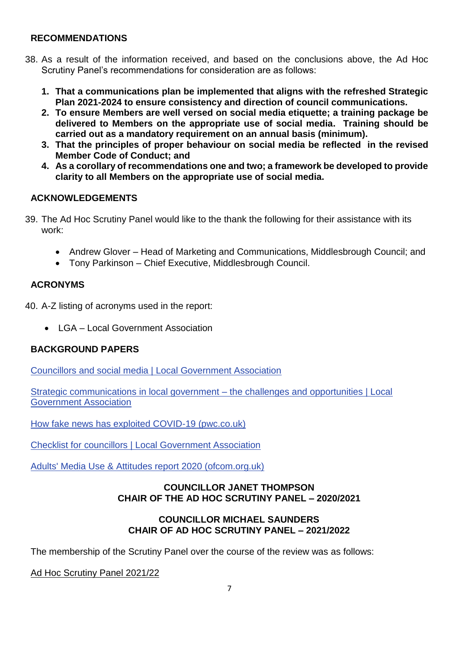#### **RECOMMENDATIONS**

- 38. As a result of the information received, and based on the conclusions above, the Ad Hoc Scrutiny Panel's recommendations for consideration are as follows:
	- **1. That a communications plan be implemented that aligns with the refreshed Strategic Plan 2021-2024 to ensure consistency and direction of council communications.**
	- **2. To ensure Members are well versed on social media etiquette; a training package be delivered to Members on the appropriate use of social media. Training should be carried out as a mandatory requirement on an annual basis (minimum).**
	- **3. That the principles of proper behaviour on social media be reflected in the revised Member Code of Conduct; and**
	- **4. As a corollary of recommendations one and two; a framework be developed to provide clarity to all Members on the appropriate use of social media.**

## **ACKNOWLEDGEMENTS**

- 39. The Ad Hoc Scrutiny Panel would like to the thank the following for their assistance with its work:
	- Andrew Glover Head of Marketing and Communications, Middlesbrough Council; and
	- Tony Parkinson Chief Executive, Middlesbrough Council.

### **ACRONYMS**

40. A-Z listing of acronyms used in the report:

• LGA – Local Government Association

## **BACKGROUND PAPERS**

[Councillors and social media | Local Government Association](https://local.gov.uk/councillors-and-social-media)

[Strategic communications in local government –](https://www.local.gov.uk/our-support/guidance-and-resources/comms-hub-communications-support/futurecomms-building-local-0) the challenges and opportunities | Local [Government Association](https://www.local.gov.uk/our-support/guidance-and-resources/comms-hub-communications-support/futurecomms-building-local-0)

[How fake news has exploited COVID-19 \(pwc.co.uk\)](https://www.pwc.co.uk/issues/crisis-and-resilience/covid-19/how-fake-news-has-exploited-covid19-cyber.html)

[Checklist for councillors | Local Government Association](https://www.local.gov.uk/our-support/guidance-and-resources/comms-hub-communications-support/digital-communications/social-1)

[Adults' Media Use & Attitudes report 2020 \(ofcom.org.uk\)](https://www.ofcom.org.uk/__data/assets/pdf_file/0031/196375/adults-media-use-and-attitudes-2020-report.pdf)

#### **COUNCILLOR JANET THOMPSON CHAIR OF THE AD HOC SCRUTINY PANEL – 2020/2021**

### **COUNCILLOR MICHAEL SAUNDERS CHAIR OF AD HOC SCRUTINY PANEL – 2021/2022**

The membership of the Scrutiny Panel over the course of the review was as follows:

### Ad Hoc Scrutiny Panel 2021/22